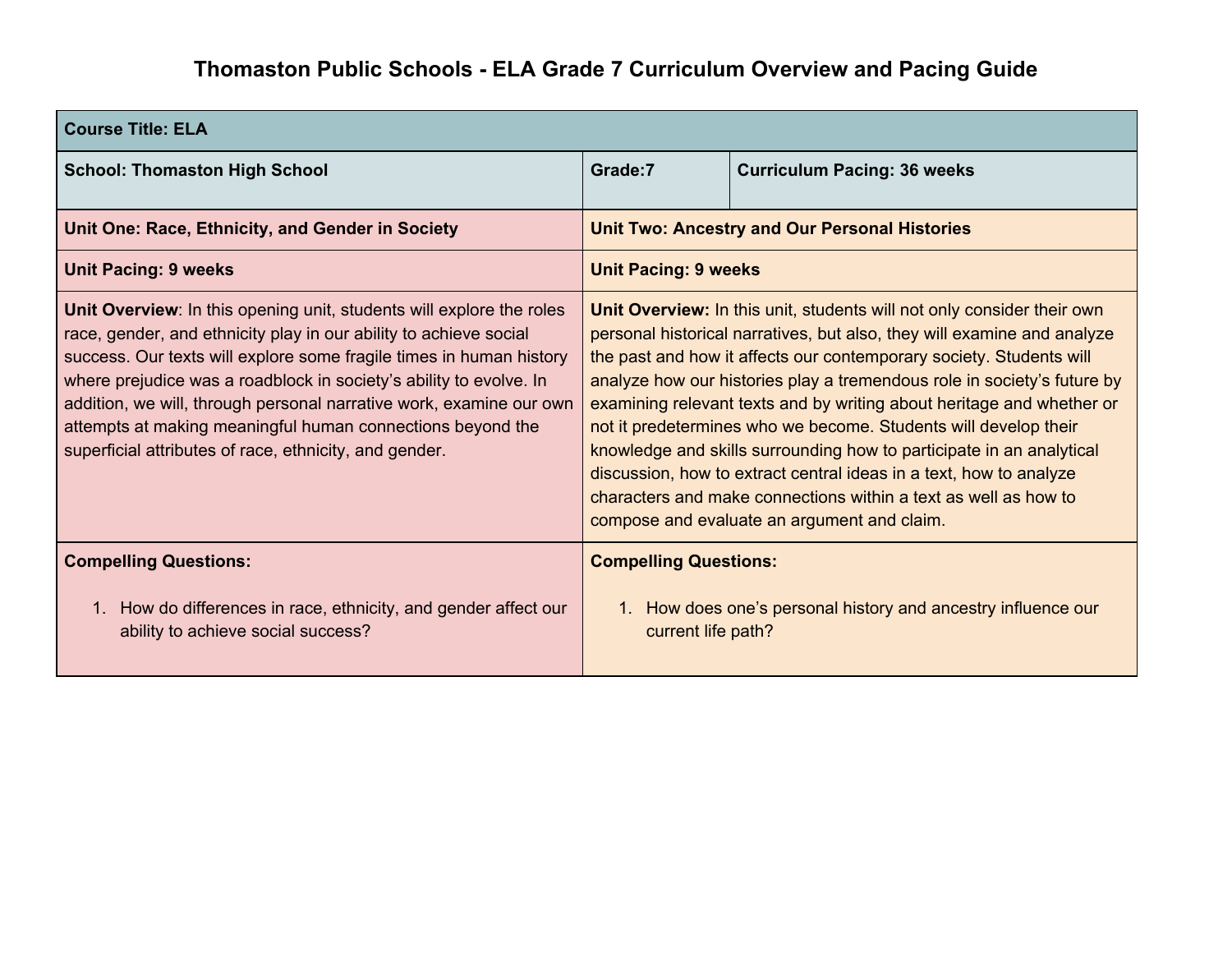## **Thomaston Public Schools - ELA Grade 7 Curriculum Overview and Pacing Guide**

| <b>Course Title: ELA</b>                                                                                                                                                                                                                                                                                                                                                                                                                                                              |                                                                                                                                                                                                                                                                                                                                                                                                                                                                                                                                                                                                                                                                                                                 |                                    |
|---------------------------------------------------------------------------------------------------------------------------------------------------------------------------------------------------------------------------------------------------------------------------------------------------------------------------------------------------------------------------------------------------------------------------------------------------------------------------------------|-----------------------------------------------------------------------------------------------------------------------------------------------------------------------------------------------------------------------------------------------------------------------------------------------------------------------------------------------------------------------------------------------------------------------------------------------------------------------------------------------------------------------------------------------------------------------------------------------------------------------------------------------------------------------------------------------------------------|------------------------------------|
| <b>School: Thomaston High School</b>                                                                                                                                                                                                                                                                                                                                                                                                                                                  | Grade:7                                                                                                                                                                                                                                                                                                                                                                                                                                                                                                                                                                                                                                                                                                         | <b>Curriculum Pacing: 36 weeks</b> |
| Unit One: Race, Ethnicity, and Gender in Society                                                                                                                                                                                                                                                                                                                                                                                                                                      | <b>Unit Two: Ancestry and Our Personal Histories</b>                                                                                                                                                                                                                                                                                                                                                                                                                                                                                                                                                                                                                                                            |                                    |
| <b>Unit Pacing: 9 weeks</b>                                                                                                                                                                                                                                                                                                                                                                                                                                                           | <b>Unit Pacing: 9 weeks</b>                                                                                                                                                                                                                                                                                                                                                                                                                                                                                                                                                                                                                                                                                     |                                    |
| Unit Overview: In this opening unit, students will explore the roles<br>race, gender, and ethnicity play in our ability to achieve social<br>success. Our texts will explore some fragile times in human history<br>where prejudice was a roadblock in society's ability to evolve. In<br>addition, we will, through personal narrative work, examine our own<br>attempts at making meaningful human connections beyond the<br>superficial attributes of race, ethnicity, and gender. | Unit Overview: In this unit, students will not only consider their own<br>personal historical narratives, but also, they will examine and analyze<br>the past and how it affects our contemporary society. Students will<br>analyze how our histories play a tremendous role in society's future by<br>examining relevant texts and by writing about heritage and whether or<br>not it predetermines who we become. Students will develop their<br>knowledge and skills surrounding how to participate in an analytical<br>discussion, how to extract central ideas in a text, how to analyze<br>characters and make connections within a text as well as how to<br>compose and evaluate an argument and claim. |                                    |
| <b>Compelling Questions:</b>                                                                                                                                                                                                                                                                                                                                                                                                                                                          | <b>Compelling Questions:</b>                                                                                                                                                                                                                                                                                                                                                                                                                                                                                                                                                                                                                                                                                    |                                    |
| How do differences in race, ethnicity, and gender affect our<br>$1_{\cdot}$<br>ability to achieve social success?                                                                                                                                                                                                                                                                                                                                                                     | How does one's personal history and ancestry influence our<br>current life path?                                                                                                                                                                                                                                                                                                                                                                                                                                                                                                                                                                                                                                |                                    |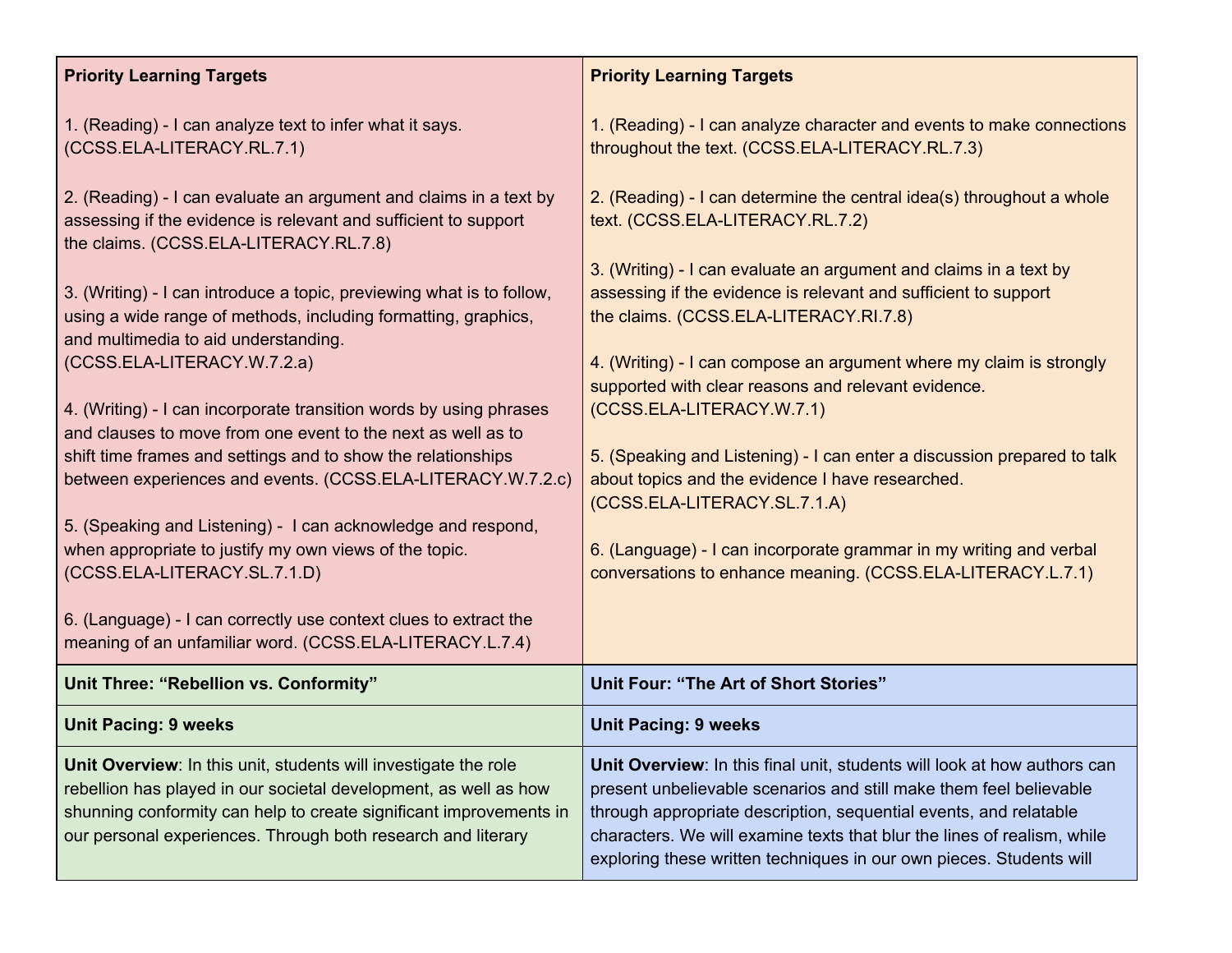| <b>Priority Learning Targets</b>                                                                                                                                                                                                                                          | <b>Priority Learning Targets</b>                                                                                                                                                                                                                                                                                                                                      |
|---------------------------------------------------------------------------------------------------------------------------------------------------------------------------------------------------------------------------------------------------------------------------|-----------------------------------------------------------------------------------------------------------------------------------------------------------------------------------------------------------------------------------------------------------------------------------------------------------------------------------------------------------------------|
| 1. (Reading) - I can analyze text to infer what it says.<br>(CCSS.ELA-LITERACY.RL.7.1)                                                                                                                                                                                    | 1. (Reading) - I can analyze character and events to make connections<br>throughout the text. (CCSS.ELA-LITERACY.RL.7.3)                                                                                                                                                                                                                                              |
| 2. (Reading) - I can evaluate an argument and claims in a text by<br>assessing if the evidence is relevant and sufficient to support<br>the claims. (CCSS.ELA-LITERACY.RL.7.8)                                                                                            | 2. (Reading) - I can determine the central idea(s) throughout a whole<br>text. (CCSS.ELA-LITERACY.RL.7.2)                                                                                                                                                                                                                                                             |
| 3. (Writing) - I can introduce a topic, previewing what is to follow,<br>using a wide range of methods, including formatting, graphics,<br>and multimedia to aid understanding.                                                                                           | 3. (Writing) - I can evaluate an argument and claims in a text by<br>assessing if the evidence is relevant and sufficient to support<br>the claims. (CCSS.ELA-LITERACY.RI.7.8)                                                                                                                                                                                        |
| (CCSS.ELA-LITERACY.W.7.2.a)                                                                                                                                                                                                                                               | 4. (Writing) - I can compose an argument where my claim is strongly<br>supported with clear reasons and relevant evidence.                                                                                                                                                                                                                                            |
| 4. (Writing) - I can incorporate transition words by using phrases<br>and clauses to move from one event to the next as well as to                                                                                                                                        | (CCSS.ELA-LITERACY.W.7.1)                                                                                                                                                                                                                                                                                                                                             |
| shift time frames and settings and to show the relationships<br>between experiences and events. (CCSS.ELA-LITERACY.W.7.2.c)                                                                                                                                               | 5. (Speaking and Listening) - I can enter a discussion prepared to talk<br>about topics and the evidence I have researched.<br>(CCSS.ELA-LITERACY.SL.7.1.A)                                                                                                                                                                                                           |
| 5. (Speaking and Listening) - I can acknowledge and respond,<br>when appropriate to justify my own views of the topic.<br>(CCSS.ELA-LITERACY.SL.7.1.D)                                                                                                                    | 6. (Language) - I can incorporate grammar in my writing and verbal<br>conversations to enhance meaning. (CCSS.ELA-LITERACY.L.7.1)                                                                                                                                                                                                                                     |
| 6. (Language) - I can correctly use context clues to extract the<br>meaning of an unfamiliar word. (CCSS.ELA-LITERACY.L.7.4)                                                                                                                                              |                                                                                                                                                                                                                                                                                                                                                                       |
| Unit Three: "Rebellion vs. Conformity"                                                                                                                                                                                                                                    | Unit Four: "The Art of Short Stories"                                                                                                                                                                                                                                                                                                                                 |
| <b>Unit Pacing: 9 weeks</b>                                                                                                                                                                                                                                               | <b>Unit Pacing: 9 weeks</b>                                                                                                                                                                                                                                                                                                                                           |
| Unit Overview: In this unit, students will investigate the role<br>rebellion has played in our societal development, as well as how<br>shunning conformity can help to create significant improvements in<br>our personal experiences. Through both research and literary | Unit Overview: In this final unit, students will look at how authors can<br>present unbelievable scenarios and still make them feel believable<br>through appropriate description, sequential events, and relatable<br>characters. We will examine texts that blur the lines of realism, while<br>exploring these written techniques in our own pieces. Students will |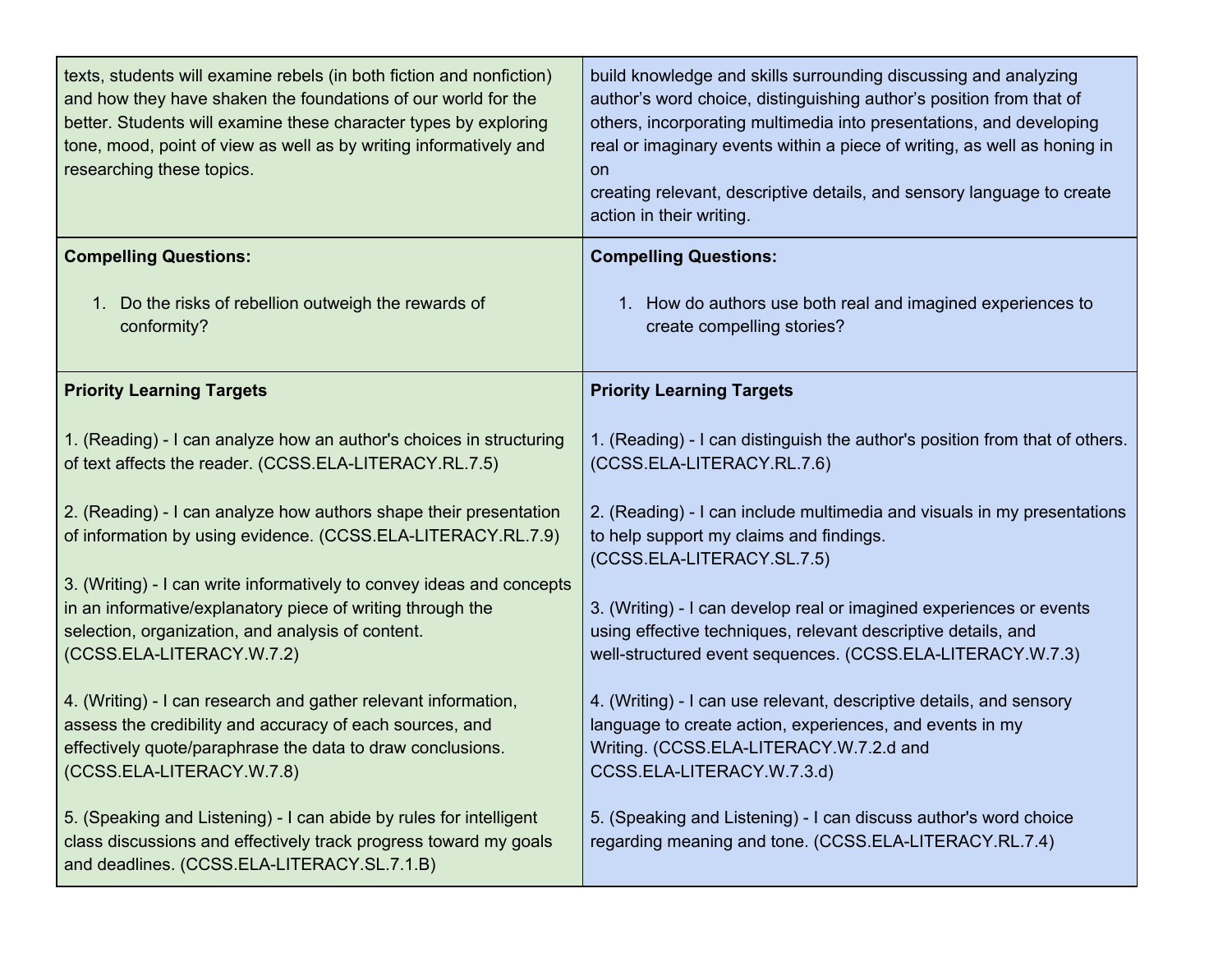| texts, students will examine rebels (in both fiction and nonfiction)<br>and how they have shaken the foundations of our world for the<br>better. Students will examine these character types by exploring<br>tone, mood, point of view as well as by writing informatively and<br>researching these topics. | build knowledge and skills surrounding discussing and analyzing<br>author's word choice, distinguishing author's position from that of<br>others, incorporating multimedia into presentations, and developing<br>real or imaginary events within a piece of writing, as well as honing in<br>on<br>creating relevant, descriptive details, and sensory language to create<br>action in their writing. |
|-------------------------------------------------------------------------------------------------------------------------------------------------------------------------------------------------------------------------------------------------------------------------------------------------------------|-------------------------------------------------------------------------------------------------------------------------------------------------------------------------------------------------------------------------------------------------------------------------------------------------------------------------------------------------------------------------------------------------------|
| <b>Compelling Questions:</b>                                                                                                                                                                                                                                                                                | <b>Compelling Questions:</b>                                                                                                                                                                                                                                                                                                                                                                          |
| 1. Do the risks of rebellion outweigh the rewards of<br>conformity?                                                                                                                                                                                                                                         | 1. How do authors use both real and imagined experiences to<br>create compelling stories?                                                                                                                                                                                                                                                                                                             |
| <b>Priority Learning Targets</b>                                                                                                                                                                                                                                                                            | <b>Priority Learning Targets</b>                                                                                                                                                                                                                                                                                                                                                                      |
| 1. (Reading) - I can analyze how an author's choices in structuring<br>of text affects the reader. (CCSS.ELA-LITERACY.RL.7.5)                                                                                                                                                                               | 1. (Reading) - I can distinguish the author's position from that of others.<br>(CCSS.ELA-LITERACY.RL.7.6)                                                                                                                                                                                                                                                                                             |
| 2. (Reading) - I can analyze how authors shape their presentation<br>of information by using evidence. (CCSS.ELA-LITERACY.RL.7.9)                                                                                                                                                                           | 2. (Reading) - I can include multimedia and visuals in my presentations<br>to help support my claims and findings.<br>(CCSS.ELA-LITERACY.SL.7.5)                                                                                                                                                                                                                                                      |
| 3. (Writing) - I can write informatively to convey ideas and concepts<br>in an informative/explanatory piece of writing through the<br>selection, organization, and analysis of content.<br>(CCSS.ELA-LITERACY.W.7.2)                                                                                       | 3. (Writing) - I can develop real or imagined experiences or events<br>using effective techniques, relevant descriptive details, and<br>well-structured event sequences. (CCSS.ELA-LITERACY.W.7.3)                                                                                                                                                                                                    |
| 4. (Writing) - I can research and gather relevant information,<br>assess the credibility and accuracy of each sources, and<br>effectively quote/paraphrase the data to draw conclusions.<br>(CCSS.ELA-LITERACY.W.7.8)                                                                                       | 4. (Writing) - I can use relevant, descriptive details, and sensory<br>language to create action, experiences, and events in my<br>Writing. (CCSS.ELA-LITERACY.W.7.2.d and<br>CCSS.ELA-LITERACY.W.7.3.d)                                                                                                                                                                                              |
| 5. (Speaking and Listening) - I can abide by rules for intelligent<br>class discussions and effectively track progress toward my goals<br>and deadlines. (CCSS.ELA-LITERACY.SL.7.1.B)                                                                                                                       | 5. (Speaking and Listening) - I can discuss author's word choice<br>regarding meaning and tone. (CCSS.ELA-LITERACY.RL.7.4)                                                                                                                                                                                                                                                                            |